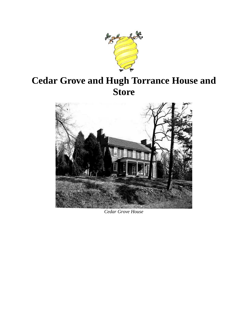

# **Cedar Grove and Hugh Torrance House and Store**



*Cedar Grove House*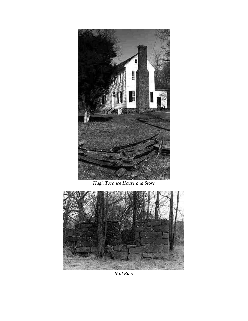

*Hugh Torance House and Store*



*Mill Ruin*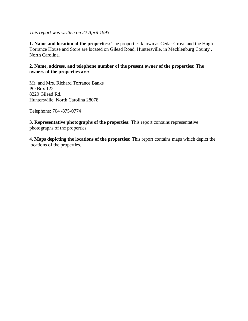#### *This report was written on 22 April 1993*

**1. Name and location of the properties:** The properties known as Cedar Grove and the Hugh Torrance House and Store are located on Gilead Road, Huntersville, in Mecklenburg County , North Carolina.

#### **2. Name, address, and telephone number of the present owner of the properties: The owners of the properties are:**

Mr. and Mrs. Richard Torrance Banks PO Box 122 8229 Gilead Rd. Huntersville, North Carolina 28078

Telephone: 704 /875-0774

**3. Representative photographs of the properties:** This report contains representative photographs of the properties.

**4. Maps depicting the locations of the properties:** This report contains maps which depict the locations of the properties.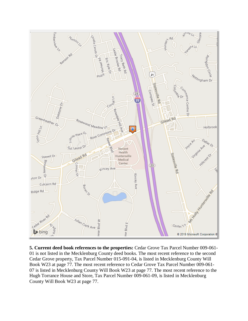

**5. Current deed book references to the properties:** Cedar Grove Tax Parcel Number 009-061- 01 is not listed in the Mecklenburg County deed books. The most recent reference to the second Cedar Grove property, Tax Parcel Number 015-091-04, is listed in Mecklenburg County Will Book W23 at page 77. The most recent reference to Cedar Grove Tax Parcel Number 009-061- 07 is listed in Mecklenburg County Will Book W23 at page 77. The most recent reference to the Hugh Torrance House and Store, Tax Parcel Number 009-061-09, is listed in Mecklenburg County Will Book W23 at page 77.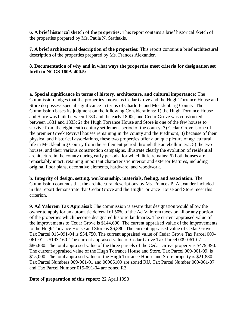**6. A brief historical sketch of the properties:** This report contains a brief historical sketch of the properties prepared by Ms. Paula N. Stathakis.

**7. A brief architectural description of the properties:** This report contains a brief architectural description of the properties prepared by Ms. Frances Alexander.

**8. Documentation of why and in what ways the properties meet criteria for designation set forth in NCGS 160A-400.5:**

**a. Special significance in terms of history, architecture, and cultural importance:** The Commission judges that the properties known as Cedar Grove and the Hugh Torrance House and Store do possess special significance in terms of Charlotte and Mecklenburg County. The Commission bases its judgment on the following Considerations: 1) the Hugh Torrance House and Store was built between 1780 and the early 1800s, and Cedar Grove was constructed between 1831 and 1833; 2) the Hugh Torrance House and Store is one of the few houses to survive from the eighteenth century settlement period of the county; 3) Cedar Grove is one of the premier Greek Revival houses remaining in the county and the Piedmont; 4) because of their physical and historical associations, these two properties offer a unique picture of agricultural life in Mecklenburg County from the settlement period through the antebellum era; 5) the two houses, and their various construction campaigns, illustrate clearly the evolution of residential architecture in the county during early periods, for which little remains; 6) both houses are remarkably intact, retaining important characteristic interior and exterior features, including original floor plans, decorative elements, hardware, and woodwork.

**b. Integrity of design, setting, workmanship, materials, feeling, and association:** The Commission contends that the architectural descriptions by Ms. Frances P. Alexander included in this report demonstrate that Cedar Grove and the Hugh Torrance House and Store meet this criterion.

**9. Ad Valorem Tax Appraisal:** The commission is aware that designation would allow the owner to apply for an automatic deferral of 50% of the Ad Valorem taxes on all or any portion of the properties which become designated historic landmarks. The current appraised value of the improvements to Cedar Grove is \$144,600. The current appraised value of the improvements to the Hugh Torrance House and Store is \$6,880. The current appraised value of Cedar Grove Tax Parcel 015-091-04 is \$54,750. The current appraised value of Cedar Grove Tax Parcel 009- 061-01 is \$193,160. The current appraised value of Cedar Grove Tax Parcel 009-061-07 is \$86,880. The total appraised value of the three parcels of the Cedar Grove property is \$479,390. The current appraised value of the Hugh Torrance House and Store, Tax Parcel 009-061-09, is \$15,000. The total appraised value of the Hugh Torrance House and Store property is \$21,880. Tax Parcel Numbers 009-061-01 and 00906109 are zoned RU. Tax Parcel Number 009-061-07 and Tax Parcel Number 015-091-04 are zoned R3.

#### **Date of preparation of this report:** 22 April 1993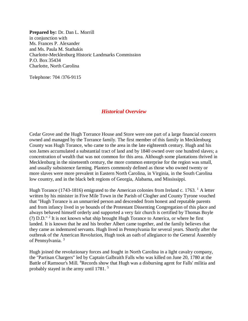**Prepared by:** Dr. Dan L. Morrill in conjunction with Ms. Frances P. Alexander and Ms. Paula M. Stathakis Charlotte-Mecklenburg Historic Landmarks Commission P.O. Box 35434 Charlotte, North Carolina

Telephone: 704 /376-9115

#### *Historical Overview*

Cedar Grove and the Hugh Torrance House and Store were one part of a large financial concern owned and managed by the Torrance family. The first member of this family in Mecklenburg County was Hugh Torance, who came to the area in the late eighteenth century. Hugh and his son James accumulated a substantial tract of land and by 1840 owned over one hundred slaves; a concentration of wealth that was not common for this area. Although some plantations thrived in Mecklenburg in the nineteenth century, the more common enterprise for the region was small, and usually subsistence farming. Planters commonly defined as those who owned twenty or more slaves were more prevalent in Eastern North Carolina, in Virginia, in the South Carolina low country, and in the black belt regions of Georgia, Alabama, and Mississippi.

Hugh Torance (1743-1816) emigrated to the American colonies from Ireland c. 1763. <sup>1</sup> A letter written by his minister in Five Mile Town in the Parish of Clogher and County Tyrone vouched that "Hugh Torance is an unmarried person and descended from honest and reputable parents and from infancy lived in ye bounds of the Protestant Dissenting Congregation of this place and always behaved himself orderly and supported a very fair church is certified by Thomas Boyle (?) D.D." <sup>2</sup> It is not known what ship brought Hugh Torance to America, or where he first landed. It is known that he and his brother Albert came together, and the family believes that they came as indentured servants. Hugh lived in Pennsylvania for several years. Shortly after the outbreak of the American Revolution, Hugh took an oath of allegiance to the General Assembly of Pennsylvania.<sup>3</sup>

Hugh joined the revolutionary forces and fought in North Carolina in a light cavalry company, the "Partisan Chargers" led by Captain Galbraith Falls who was killed on June 20, 1780 at the Battle of Ramsour's Mill. <sup>4</sup> Records show that Hugh was a disbursing agent for Falls' militia and probably stayed in the army until 1781. <sup>5</sup>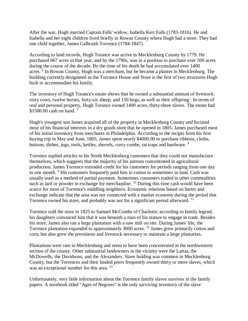After the war, Hugh married Captain Falls' widow, Isabella Kerr Falls (1783-1816). He and Isabella and her eight children lived briefly in Rowan County where Hugh had a store. They had one child together, James Galbraith Torrence (1784-1847).

According to land records, Hugh Torance was active in Mecklenburg County by 1779. He purchased 667 acres in that year, and by the 1790s, was in a position to purchase over 500 acres during the course of the decade. By the time of his death he had accumulated over 1400 acres. <sup>6</sup> In Rowan County, Hugh was a merchant, but he became a planter in Mecklenburg. The building currently designated as the Torrance House and Store is the first of two structures Hugh built to accommodate his family.

The inventory of Hugh Torance's estate shows that he owned a substantial amount of livestock: sixty cows, twelve horses, forty-six sheep, and 150 hogs, as well as their offspring . In terms of real and personal property, Hugh Torance owned 1400 acres, thirty-three slaves. The estate had \$1500.00 cash on hand.<sup>7</sup>

Hugh's youngest son James acquired all of the property in Mecklenburg County and focused most of his financial interests in a dry goods store that he opened in 1805. James purchased most of his initial inventory from merchants in Philadelphia. According to the recipts from his first buying trip in May and June, 1805, James spent nearly \$4000.00 to purchase ribbons, cloths, buttons, dishes, jugs, tools, kettles, shovels, curry combs, rat traps and hardware. <sup>8</sup>

Torrence suplied articles to his North Mecklenburg customers that they could not manufacture themselves, which suggests that the majority of his patrons concentrated in agricultural production. James Torrence extended credit for his customers for periods ranging from one day to one month. <sup>9</sup> His customers frequently paid him in cotton or sometimes in land. Cash was usually used as a method of partial payment. Sometimes customers traded in other commodities such as lard or powder in exchange for merchandise. <sup>10</sup> During this time cash would have been scarce for most of Torrence's middling neighbors. Economic relations based on barter and exchange indicate that the area was not connected with a market economy during the period that Torrence owned his store, and probably was not for a significant period afterward. <sup>11</sup>

Torrence sold the store in 1825 to Samuel McCombs of Charlotte; according to family legend, his daughters convniced him that it was beneath a man of his stature to engage in trade. Besides his store, James also ran a large plantation with a saw mill on site. During James' life, the Torrence plantation expanded to approximately 3000 acres.<sup>12</sup> James grew primarily cotton and corn, but also grew the provisions and livestock necessary to maintain a large plantation.

Plantations were rare in Mecklenburg and seem to have been concentrated in the northwestern section of the county. Other substantial landowners in the vicinity were the Lattas, the McDowells, the Davidsons, and the Alexanders. Slave holding was common in Mecklenburg County, but the Torrences and their landed peers frequently owned thirty or more slaves, which was an exceptional number for this area.<sup>13</sup>

Unfortunately, very little information about the Torrence family slaves survives in the family papers. A notebook titled "Ages of Negroes" is the only surviving inventory of the slave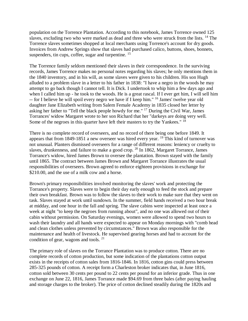population on the Torrence Plantation. According to this notebook, James Torrence owned 125 slaves, excluding two who were marked as dead and three who were struck from the lists. <sup>14</sup> The Torrence slaves sometimes shopped at local merchants using Torrence's account for dry goods. Invoices from Andrew Springs show that slaves had purchased calico, buttons, shoes, bonnets, suspenders, tin cups, coffee, sugar and turpentine. <sup>15</sup>

The Torrence family seldom mentioned their slaves in their correspondence. In the surviving records, James Torrence makes no personal notes regarding his slaves; he only mentions them in the 1840 inventory, and in his will, as some slaves were given to his children. His son Hugh alluded to a problem slave in a letter to his father in 1838: "I have a negro in the woods he may attempt to go back though I cannot tell. It is Dick. I undertook to whip him a few days ago and when I called him up - he took to the woods. He is a great rascal. If I ever get him, I will sell him -- for I believe he will spoil every negro we have if I keep him." <sup>16</sup> James' twelve year old daughter Jane Elizabeth writing from Salem Female Academy in 1835 closed her letter by asking her father to "Tell the black people howdy for me." <sup>17</sup> During the Civil War, James Torrances' widow Margaret wrote to her son Richard that her "darkeys are doing very well. Some of the negroes in this quarter have left their masters to try the Yankees."  $1\overline{8}$ 

There is no complete record of overseers, and no record of there being one before 1849. It appears that from 1849-1851 a new overseer was hired every year. <sup>19</sup> This kind of turnover was not unusual. Planters dismissed overseers for a range of different reasons: leniency or cruelty to slaves, drunkenness, and failure to make a good crop. <sup>20</sup> In 1862, Margaret Torrance, James Torrance's widow, hired James Brown to oversee the plantation. Brown stayed with the family until 1865. The contract between James Brown and Margaret Torrance illustrates the usual responsibilities of overseers. Brown agreed to enforce eighteen provisions in exchange for \$210.00, and the use of a milk cow and a horse.

Brown's primary responsibilities involved monitoring the slaves' work and protecting the Torrance's property. Slaves were to begin their day early enough to feed the stock and prepare their own breakfast. Brown was to follow the slaves to their work to make sure that they went on task. Slaves stayed at work until sundown. In the summer, field hands received a two hour break at midday, and one hour in the fall and spring. The slave cabins were inspected at least once a week at night "to keep the negroes from running about", and no one was allowed out of their cabin without permission. On Saturday evenings, women were allowed to spend two hours to wash their laundry and all hands were expected to appear on Monday mornings with "comb head and clean clothes unless prevented by circumstances." Brown was also responsible for the maintenance and health of livestock. He supervised gearing horses and had to account for the condition of gear, wagons and tools. <sup>21</sup>

The primary role of slaves on the Torrance Plantation was to produce cotton. There are no complete records of cotton production, but some indication of the plantations cotton output exists in the receipts of cotton sales from 1816-1846. In 1816, cotton gins could press between 285-325 pounds of cotton. A receipt form a Charleston broker indicates that, in June 1816, cotton sold between 30 cents per pound to 22 cents per pound for an inferior grade. Thus in one exchange on June 22, 1816, James Torrance made \$94.69 from three bales (after paying hauling and storage charges to the broker). The price of cotton declined steadily during the 1820s and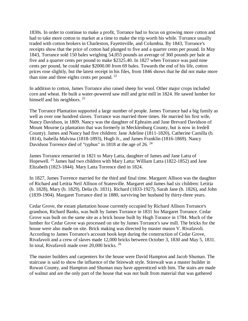1830s. In order to continue to make a profit, Torrance had to focus on growing more cotton and had to take more cotton to market at a time to make the trip worth his while. Torrance usually traded with cotton brokers in Charleston, Fayetteville, and Columbia. By 1843, Torrance's receipts show that the price of cotton had plunged to five and a quarter cents per pound. In May 1843, Torrance sold 150 bales weighing 54,055 pounds an average of 360 pounds per bale at five and a quarter cents per pound to make \$2325.40. In 1827 when Torrance was paid nine cents per pound, he could make \$2000.00 from 69 bales. Towards the end of his life, cotton prices rose slightly, but the latest receipt in his files, from 1846 shows that he did not make more than nine and three eights cents per pound. <sup>22</sup>

In addition to cotton, James Torrance also raised sheep for wool. Other major crops included corn and wheat. He built a water-powered saw mill and grist mill in 1824. He sawed lumber for himself and his neighbors. <sup>23</sup>

The Torrance Plantation supported a large number of people. James Torrance had a big family as well as over one hundred slaves. Torrance was married three times. He married his first wife, Nancy Davidson, in 1809. Nancy was the daughter of Ephraim and Jane Brevard Davidson of Mount Mourne (a plantation that was formerly in Mecklenburg County, but is now in Iredell County). James and Nancy had five children: Jane Adeline (1811-1820), Catherine Camilla (b. 1814), Isabella Malvina (1818-1893), Hugh Jr., and James Franklin (1816-1869). Nancy Davidson Torrence died of "typhus" in 1818 at the age of 26. <sup>24</sup>

James Torrance remarried in 1821 to Mary Latta, daughter of James and Jane Latta of Hopewell. <sup>25</sup> James had two children with Mary Latta: William Latta (1822-1852) and Jane Elizabeth (1823-1844). Mary Latta Torrence died in 1824.

In 1827, James Torrence married for the third and final time. Margaret Allison was the daughter of Richard and Letitia Neil Allison of Statesville. Margaret and James had six children: Letitia (b. 1828), Mary (b. 1829), Delia (b. 1831). Richard (1833-1927), Sarah Jane (b. 1826), and John (1839-1904). Margaret Torrance died in 1880, surviving her husband by thirty-three years.

Cedar Grove, the extant plantation house currently occupied by Richard Allison Torrance's grandson, Richard Banks, was built by James Torrance in 1831 for Margaret Torrance. Cedar Grove was built on the same site as a brick house built by Hugh Torance in 1784. Much of the lumber for Cedar Grove was processed on site by James Torrance's saw mill. The bricks for the house were also made on site. Brick making was directed by master mason V. Rivafavoli. According to James Torrance's account book kept during the construction of Cedar Grove, Rivafavoli and a crew of slaves made 12,000 bricks between October 3, 1830 and May 5, 1831. In total, Rivafavoli made over 20,000 bricks. <sup>26</sup>

The master builders and carpenters for the house were David Hampton and Jacob Shuman. The staircase is said to show the influence of the Stirewalt style. Stirewalt was a master builder in Rowan County, and Hampton and Shuman may have apprenticed with him. The stairs are made of walnut and are the only part of the house that was not built from material that was gathered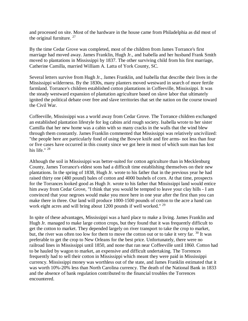and processed on site. Most of the hardware in the house came from Philadelphia as did most of the original furniture.  $27$ 

By the time Cedar Grove was completed, most of the children from James Torrance's first marriage had moved away. James Franklin, Hugh Jr., and Isabella and her husband Frank Smith moved to plantations in Mississippi by 1837. The other surviving child from his first marriage, Catherine Camilla, married William A. Latta of York County, SC.

Several letters survive from Hugh Jr., James Franklin, and Isabella that describe their lives in the Mississippi wilderness. By the 1830s, many planters moved westward in search of more fertile farmland. Torrance's children established cotton plantations in Coffeeville, Mississippi. It was the steady westward expansion of plantation agriculture based on slave labor that ultimately ignited the political debate over free and slave territories that set the nation on the course toward the Civil War.

Coffeeville, Mississippi was a world away from Cedar Grove. The Torrance children exchanged an established plantation lifestyle for log cabins arid rough society. Isabella wrote to her sister Camilla that her new home was a cabin with so many cracks in the walls that the wind blew through them constantly. James Franklin commented that Mississippi was relatively uncivilized: "the people here are particularly fond of using the Bowye knife and fire arms- not less than four or five cases have occurred in this county since we got here in most of which sum man has lost his life."<sup>28</sup>

Although the soil in Mississippi was better-suited for cotton agriculture than in Mecklenburg County, James Torrance's eldest sons had a difficult time establishing themselves on their new plantations. In the spring of 1838, Hugh Jr. wrote to his father that in the previous year he had raised thirty one (480 pound) bales of cotton and 4000 bushels of corn. At that time, prospects for the Torrances looked good as Hugh Jr. wrote to his father that Mississippi land would entice him away from Cedar Grove, "I think that you would be tempted to leave your clay hills - I am convinced that your negroes would make you more here in one year after the first than you can make there in three. Our land will produce 1000-1500 pounds of cotton to the acre a hand can work eight acres and will bring about 1200 pounds if well worked." <sup>29</sup>

In spite of these advantages, Mississippi was a hard place to make a living. James Franklin and Hugh Jr. managed to make large cotton crops, but they found that it was frequently difficult to get the cotton to market. They depended largely on river transport to take the crop to market, but, the river was often too low for them to move the cotton out or to take it very far. <sup>30</sup> It was preferable to get the crop to New Orleans for the best price. Unfortunately, there were no railroad lines in Mississippi until 1850, and none that ran near Coffeeville until 1860. Cotton had to be hauled by wagon to market, an expensive and difficult undertaking. The Torrences frequently had to sell their cotton in Mississippi which meant they were paid in Mississippi currency. Mississippi money was worthless out of the state, and James Franklin estimated that it was worth 10%-20% less than North Carolina currency. The death of the National Bank in 1833 and the absence of bank regulation contributed to the financial troubles the Torrences encountered.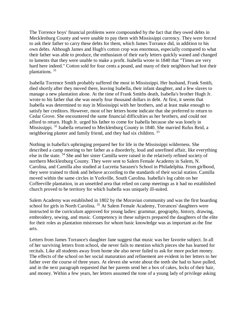The Torrence boys' financial problems were compounded by the fact that they owed debts in Mecklenburg County and were unable to pay them with Mississippi currency. They were forced to ask their father to carry these debts for them, which James Torrance did, in addition to his own debts. Although James and Hugh's cotton crop was enormous, especially compared to what their father was able to produce, the enthusiasm of their early letters quickly waned and changed to laments that they were unable to make a profit. Isabella wrote in 1840 that "Times are very hard here indeed." Cotton sold for four cents a pound, and many of their neighbors had lost their plantations. <sup>31</sup>

Isabella Torrence Smith probably suffered the most in Mississippi. Her husband, Frank Smith, died shortly after they moved there, leaving Isabella, their infant daughter, and a few slaves to manage a new plantation alone. At the time of Frank Smiths death, Isabella's brother Hugh Jr. wrote to his father that she was nearly four thousand dollars in debt. At first, it seems that Isabella was determined to stay in Mississippi with her brothers, and at least make enough to satisfy her creditors. However, most of her letters home indicate that she preferred to return to Cedar Grove. She encountered the same financial difficulties as her brothers, and could not afford to return. Hugh Jr. urged his father to come for Isabella because she was lonely in Mississippi. <sup>32</sup> Isabella returned to Mecklenburg County in 1840. She married Rufus Reid, a neighboring planter and family friend, and they had six children. 33

Nothing in Isabella's upbringing prepared her for life in the Mississippi wilderness. She described a camp meeting to her father as a disorderly, loud and unrefined affair, like everything else in the state. <sup>34</sup> She and her sister Camilla were raised in the relatively refined society of northern Mecklenburg County. They were sent to Salem Female Academy in Salem, N. Carolina, and Camilla also studied at Lucretia Sarazen's School in Philadelphia. From girlhood, they were trained to think and behave according to the standards of their social station. Camilla moved within the same circles in Yorkville, South Carolina. Isabella's log cabin on her Coffeeville plantation, in an unsettled area that relied on camp meetings as it had no established church proved to be territory for which Isabella was uniquely ill-suited.

Salem Academy was established in 1802 by the Moravian community and was the first boarding school for girls in North Carolina.<sup>35</sup> At Salem Female Academy, Torrances' daughters were instructed in the curriculum approved for young ladies: grammar, geography, history, drawing, embroidery, sewing, and music. Competency in these subjects prepared the daughters of the elite for their roles as plantation mistresses for whom basic knowledge was as important as the fine arts.

Letters from James Torrance's daughter Jane suggest that music was her favorite subject. In all of her surviving letters from school, she never fails to mention which pieces she has learned for recitals. Like all students away from home she also never failed to ask for more pocket money. The effects of the school on her social maturation and refinement are evident in her letters to her father over the course of three years. At eleven she wrote about the teeth she had to have pulled, and in the next paragraph requested that her parents send her a box of cakes, locks of their hair, and money. Within a few years, her letters assumed the tone of a young lady of privilege asking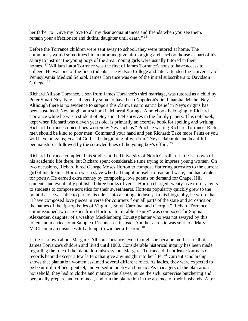her father to "Give my love to all my dear acquaintances and friends when you see them. I remain your affectionate and dutiful daughter until death." <sup>36</sup>

Before the Torrance children were sent away to school, they were tutored at home. The community would sometimes hire a tutor and give him lodging and a school house as part of his salary to instruct the young boys of the area. Young girls were usually tutored in their homes. <sup>37</sup> William Latta Torrence was the first of James Torrance's sons to have access to college. He was one of the first students at Davidson College and later attended the University of Pennsylvania Medical School. James Torrance was one of the initial subscribers to Davidson College. <sup>38</sup>

Richard Allison Torrance, a son from James Torrance's third marriage, was tutored as a child by Peter Stuart Ney. Ney is alleged by some to have been Napoleon's field marshal Michel Ney. Although there is no evidence to support this claim, this romantic belief in Ney's origins has been sustained. Ney taught at a school in Mineral Springs. A notebook belonging to Richard Torrance while he was a student of Ney's in 1844 survives in the family papers. This notebook, kept when Richard was eleven years old, is primarily an exercise book for spelling and writing. Richard Torrance copied lines written by Ney such as " Practice writing Richard Torrance; Rich men should be kind to poor men; Command your hand and pen Richard; Take more Pains or you will have no gains; Fear of God is the beginning of wisdom." Ney's elaborate and beautiful penmanship is followed by the scrawled lines of the young boy's effort. <sup>39</sup>

Richard Torrance completed his studies at the University of North Carolina. Little is known of his academic life there, but Richard spent considerable time trying to impress young women. On two occasions, Richard hired George Moses Horton to compose flattering acrostics to the current girl of his dreams. Horton was a slave who had taught himself to read and write, and had a talent for poetry. He earned extra money by composing love poems on demand for Chapel Hill students and eventually published three books of verse. Horton charged twenty-five to fifty cents to students to compose acrostics for their sweethearts. Hortons popularity quickly grew to the point that he was able to parley his talent into a cottage industry. In his biography, he wrote that "I have composed love pieces in verse for courtiers from all parts of the state and acrostics on the names of the tip-top belles of Virginia, South Carolina, and Georgia." Richard Torrance commissioned two acrostics from Horton. "Inimitable Beauty" was composed for Sophia Alexander, daughter of a wealthy Mecklenburg County planter who was not swayed by this token and married John Sample of Tennessee instead. Another acrostic was sent to a Mary McClean in an unsuccessful attempt to win her affection.<sup>40</sup>

Little is known about Margaret Allison Torrance, even though she became mother to all of James Torrance's children and lived until 1880. Considerable historical inquiry has been made regarding the role of the plantation mistress, but Margaret Torrance did not leave journals or records behind except a few letters that give any insight into her life. <sup>41</sup> Current scholarship shows that plantation women assumed several different roles. As ladies, they were expected to be beautiful, refined, genteel, and versed in poetry and music. As managers of the plantation household, they had to clothe and manage the slaves, nurse the sick, supervise butchering and personally prepare and cure meat, and run the plantation in the absence of their husbands. After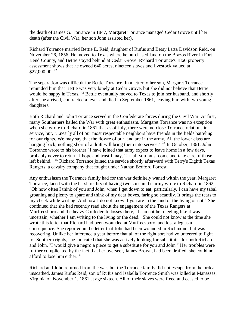the death of James G. Torrance in 1847, Margaret Torrance managed Cedar Grove until her death (after the Civil War, her son John assisted her).

Richard Torrance married Bettie E. Reid, daughter of Rufus and Betsy Latta Davidson Reid, on November 26, 1856. He moved to Texas where he purchased land on the Brazos River in Fort Bend County, and Bettie stayed behind at Cedar Grove. Richard Torrance's 1860 property assessment shows that he owned 640 acres, nineteen slaves and livestock valued at \$27,000.00. <sup>42</sup>

The separation was difficult for Bettie Torrance. In a letter to her son, Margaret Torrance reminded him that Bettie was very lonely at Cedar Grove, but she did not believe that Bettie would be happy in Texas. <sup>43</sup> Bettie eventually moved to Texas to join her husband, and shortly after she arrived, contracted a fever and died in September 1861, leaving him with two young daughters.

Both Richard and John Torrance served in the Confederate forces during the Civil War. At first, many Southerners hailed the War with great enthusiasm. Margaret Torrance was no exception when she wrote to Richard in 1861 that as of July, there were no close Torrance relations in service, but, "...nearly all of our most respectable neighbors have friends in the fields batteling for our rights. We may say that the flowre of our land are in the army. All the lower class are hanging back, nothing short of a draft will bring them into service." <sup>44</sup> In October, 1861, John Torrance wrote to his brother "I have joined that army expect to leave home in a few days, probably never to return. I hope and trust I may, if I fall you must come and take care of those left behind." <sup>45</sup> Richard Torrance joined the service shortly afterward with Terry's Eighth Texas Rangers, a cavalry company that fought under Nathan Bedford Forrest.

Any enthusiasm the Torrance family had for the war definitely waned within the year. Margaret Torrance, faced with the harsh reality of having two sons in the army wrote to Richard in 1862, "Oh how often I think of you and John, when I get down to eat, particularly. I can have my tabal groaning and plenty to spare and think of my dear boyes, faring so scantily. It brings the tears to my cheek while writing. And now I do not know if you are in the land of the living or not." She continued that she had recently read about the engagement of the Texas Rangers at Murfreesboro and the heavy Confederate losses there, "I can not help feeling like it was uncertain, whether I am writing to the living or the dead." She could not know at the time she wrote this letter that Richard had been wounded at Murfreesboro, and lost a leg as a consequence. She reported in the letter that John had been wounded in Richmond, but was recovering. Unlike her inference a year before that all of the right sort had volunteered to fight for Southern rights, she indicated that she was actively looking for substitutes for both Richard and John, "I would give a negro a piece to get a substitute for you and John." Her troubles were further complicated by the fact that her overseer, James Brown, had been drafted; she could not afford to lose him either. <sup>46</sup>

Richard and John returned from the war, but the Torrance family did not escape from the ordeal unscathed. James Rufus Reid, son of Rufus and Isabella Torrence Smith was killed at Manassas, Virginia on November 1, 1861 at age sixteen. All of their slaves were freed and ceased to be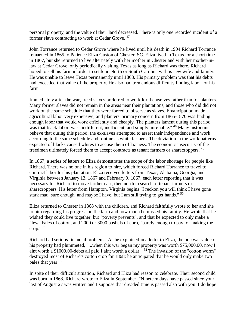personal property, and the value of their land decreased. There is only one recorded incident of a former slave contracting to work at Cedar Grove. <sup>47</sup>

John Torrance returned to Cedar Grove where he lived until his death in 1904 Richard Torrance remarried in 1865 to Patience Eliza Gaston of Chester, SC. Eliza lived in Texas for a short time in 1867, but she returned to live alternately with her mother in Chester and with her mother-inlaw at Cedar Grove, only periodically visiting Texas as long as Richard was there. Richard hoped to sell his farm in order to settle in North or South Carolina with is new wife and family. He was unable to leave Texas permanently until 1868. His primary problem was that his debts had exceeded that value of the property. He also had tremendous difficulty finding labor for his farm.

Immediately after the war, freed slaves preferred to work for themselves rather than for planters. Many former slaves did not remain in the areas near their plantations, and those who did did not work on the same schedule that they were forced to observe as slaves. Emancipation made agricultural labor very expensive, and planters' primary concern from 1865-1870 was finding enough labor that would work efficiently and cheaply. The planters lament during this period was that black labor, was "indifferent, inefficient, and simply unreliable." <sup>48</sup> Many historians beheve that during this period, the ex-slaves attempted to assert their independence and work according to the same schedule and routine as white farmers. The deviation in the work patterns expected of blacks caused whites to accuse them of laziness. The economic insecurity of the freedmen ultimately forced them to accept contracts as tenant farmers or sharecroppers.<sup>49</sup>

In 1867, a series of letters to Eliza demonstrates the scope of the labor shortage for people like Richard. There was no one in his region to hire, which forced Richard Torrance to travel to contract labor for his plantation. Eliza received letters from Texas, Alabama, Georgia, and Virginia between January 13, 1867 and February 9, 1867, each letter reporting that it was necessary for Richard to move farther east, then north in search of tenant farmers or sharecroppers. His letter from Hampton, Virginia begins "I reckon you will think I have gone stark mad, sure enough, and maybe I have, but I am still trying to get hands." <sup>50</sup>

Eliza returned to Chester in 1868 with the children, and Richard faithfully wrote to her and she to him regarding his progress on the farm and how much he missed his family. He wrote that he wished they could live together, but "poverty prevents", and that he expected to only make a "few" bales of cotton, and 2000 or 3000 bushels of corn, "barely enough to pay for making the crop."  $51$ 

Richard had serious financial problems. As he explained in a letter to Eliza, the postwar value of his property had plummeted, "...when this war began my property was worth \$75,000.00, now I aint worth a \$1000.00-debts all paid I aint worth a dollar." <sup>52</sup> The invasion of the "cotton worm" destroyed most of Richard's cotton crop for 1868; he anticipated that he would only make two bales that year. <sup>53</sup>

In spite of their difficult situation, Richard and Eliza had reason to celebrate. Their second child was born in 1868. Richard wrote to Eliza in September, "Nineteen days have passed since your last of August 27 was written and I suppose that dreaded time is passed also with you. I do hope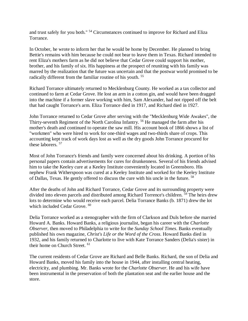and trust safely for you both." <sup>54</sup> Circumstances continued to improve for Richard and Eliza Torrance.

In October, he wrote to inform her that he would be home by December. He planned to bring Bettie's remains with him because he could not bear to leave them in Texas. Richard intended to rent Eliza's mothers farm as he did not believe that Cedar Grove could support his mother, brother, and his family of six. His happiness at the prospect of reuniting with his family was marred by the realization that the future was uncertain and that the postwar world promised to be radically different from the familiar routine of his youth. <sup>55</sup>

Richard Torrance ultimately returned to Mecklenburg County. He worked as a tax collector and continued to farm at Cedar Grove. He lost an arm in a cotton gin, and would have been dragged into the machine if a former slave working with him, Sam Alexander, had not ripped off the belt that had caught Torrance's arm. Eliza Torrance died in 1917, and Richard died in 1927.

John Torrance returned to Cedar Grove after serving with the "Mecklenburg Wide Awakes", the Thirty-seventh Regiment of the North Carolina Infantry. <sup>56</sup> He managed the farm after his mother's death and continued to operate the saw mill. His account book of 1866 shows a list of "workmen" who were hired to work for one-third wages and two-thirds share of crops. This accounting kept track of work days lost as well as the dry goods John Torrance procured for these laborers. <sup>57</sup>

Most of John Torrance's friends and family were concerned about his drinking. A portion of his personal papers contain advertisements for cures for drunkenness. Several of his friends advised him to take the Keeley cure at a Keeley Institute conveniently located in Greensboro. His nephew Frank Witherspoon was cured at a Keeley Institute and worked for the Keeley Institute of Dallas, Texas. He gently offered to discuss the cure with his uncle in the future. <sup>58</sup>

After the deaths of John and Richard Torrance, Cedar Grove and its surrounding property were divided into eleven parcels and distributed among Richard Torrence's children. <sup>59</sup> The heirs drew lots to determine who would receive each parcel. Delia Torrance Banks (b. 1871) drew the lot which included Cedar Grove.<sup>60</sup>

Delia Torrance worked as a stenographer with the firm of Clarkson and Duls before she married Howard A. Banks. Howard Banks, a religious journalist, began his career with the *Charlotte Observer*, then moved to Philadelphia to write for the *Sunday School Times*. Banks eventually published his own magazine, *Christ's Life or the Word of the Cross*. Howard Banks died in 1932, and his family returned to Charlotte to live with Kate Torrance Sanders (Delia's sister) in their home on Church Street.<sup>61</sup>

The current residents of Cedar Grove are Richard and Belle Banks. Richard, the son of Delia and Howard Banks, moved his family into the house in 1944, after installing central heating, electricity, and plumbing. Mr. Banks wrote for the *Charlotte Observer*. He and his wife have been instrumental in the preservation of both the plantation seat and the earlier house and the store.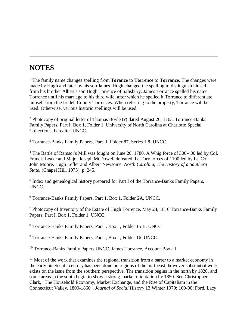# **NOTES**

<sup>1</sup> The family name changes spelling from **Torance** to **Torrence** to **Torrance**. The changes were made by Hugh and later by his son James. Hugh changed the spelling to distinguish himself from his brother Albert's son Hugh Torrence of Salisbury. James Torrance spelled his name Torrence until his marriage to his third wife, after which he spelled it Torrance to differentiate himself from the Iredell County Torrences. When referring to the property, Torrance will be used. Otherwise, various historic spellings will be used.

<sup>2</sup> Photocopy of original letter of Thomas Boyle (?) dated August 20, 1763. Torrance-Banks Family Papers, Part I, Box 1, Folder 1. University of North Carolina at Charlotte Special Collections, hereafter UNCC.

<sup>3</sup> Torrance-Banks Family Papers, Part II, Folder 87, Series 1.8, UNCC.

<sup>4</sup> The Battle of Ramsor's Mill was fought on June 20, 1780. A Whig force of 300-400 led by Col. Francis Leake and Major Joseph McDowell defeated the Tory forces of 1100 led by Lt. Col. John Moore. Hugh Lefler and Albert Newsome. *North Carolina, The History of a Southern State*, (Chapel Hill, 1973). p. 245.

<sup>5</sup> Index and genealogical history prepared for Part I of the Torrance-Banks Family Papers, UNCC.

<sup>6</sup> Torrance-Banks Family Papers, Part 1, Box 1, Folder 2A, UNCC.

<sup>7</sup> Photocopy of Inventory of the Estate of Hugh Torrence, May 24, 1816 Torrance-Banks Family Papers, Part I, Box 1, Folder 1, UNCC.

<sup>8</sup> Torrance-Banks Family Papers, Part I. Box 1, Folder 15 B. UNCC.

<sup>9</sup> Torrance-Banks Family Papers, Part I, Box 1, Folder 16. UNCC.

<sup>10</sup> Torrance-Banks Family Papers, UNCC. James Torrance, Account Book 1.

 $11$  Most of the work that examines the regional transition from a barter to a market economy in the early nineteenth century has been done on regions of the northeast, however substantial work exists on the issue from the southern perspective. The transition begins in the north by 1820, and some areas in the south begin to show a strong market orientation by 1850. See Christopher Clark, "The Household Economy, Market Exchange, and the Rise of Capitalism in the Connecticut Valley, 1800-1860", *Journal of Social History* 13 Winter 1979: 169-90; Ford, Lacy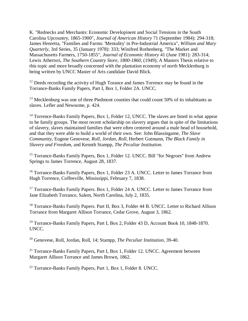K. "Rednecks and Merchants: Economic Developinent and Social Tensions in the South Carolina Upcountry, 1865-1900", *Journal of American History* 71 (September 1984): 294-318; James Henretta, "Families and Farms: 'Mentality' in Pre-Industrial America", *William and Mary Quarterly*, 3rd Series, 35 (January 1978): 333; Winifred Rothenberg, "The Market and Massachusetts Farmers, 1750-1855", *Journal of Economic History* 41 (June 1981): 283-314; Lewis Athertori, *The Southern Country Store, 1800-1860*, (1949); A Masters Thesis relative to this topic and more broadly concerned with the plantation economy of north Mecklenburg is being written by UNCC Master of Arts candidate David Blick.

<sup>12</sup> Deeds recording the activity of Hugh Torance and James Torrence may be found in the Torrance-Banks Family Papers, Part I, Box 1, Folder 2A. UNCC.

<sup>13</sup> Mecklenburg was one of three Piedmont counties that could count 50% of its inhabitants as slaves. Lefler and Newsome, p. 424.

<sup>14</sup> Torrence-Banks Family Papers, Box 1, Folder 12, UNCC. The slaves are listed in what appear to be family groups. The most recent scholarship on slavery argues that in spite of the limitations of slavery, slaves maintained families that were often centered around a male head of household, and that they were able to build a world of their own. See: John Blassingame, *The Slave Community*, Eugene Genovese, *Roll, Jordan, Roll*, Herbert Gutmann, *The Black Family in Slavery and Freedom*, and Kennth Stampp, *The Peculiar Institution*.

<sup>15</sup> Torrance-Banks Family Papers, Box 1, Folder 12. UNCC. Bill "for Negroes" from Andrew Springs to James Torrence, August 28, 1837.

<sup>16</sup> Torrance-Banks Family Papers, Box 1, Folder 23 A. UNCC. Letter to James Torrance from Hugh Torrence, Coffeeville, Mississippi, February 7, 1838.

<sup>17</sup> Torrance-Banks Family Papers. Box 1, Folder 24 A. UNCC. Letter to James Torrance from Jane Elizabeth Torrance, Salem, North Carolina, July 2, 1835.

<sup>18</sup> Torrance-Banks Family Papers. Part II, Box 3, Folder 44 B. UNCC. Letter to Richard Allison Torrance from Margaret Allison Torrance, Cedar Grove, August 3, 1862.

<sup>19</sup> Torrance-Banks Family Papers, Part I, Box 2, Folder 43 D, Account Book 10, 1848-1870. UNCC.

<sup>20</sup> Genovese, Roll, Jordan, Roll, 14; Stampp, *The Peculiar Institution*, 39-40.

<sup>21</sup> Torrance-Banks Family Papers, Part I, Box 1, Folder 12. UNCC. Agreement between Margaret Allison Torrance and James Brown, 1862.

<sup>22</sup> Torrance-Banks Family Papers, Part 1, Box 1, Folder 8. UNCC.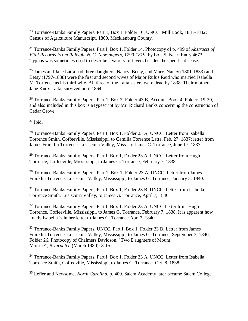<sup>23</sup> Torrance-Banks Family Papers. Part 1, Box 1. Folder 16, UNCC. Mill Book, 1831-1832; Census of Agriculture Manuscript, 1860, Mecklenburg County.

<sup>24</sup> Torrance-Banks Family Papers. Part I, Box 1, Folder 14. Photocopy of p. 499 of *Abstracts of Vital Records From Raleigh, N. C. Newspapers, 1799-1819*, by Lois S. Near. Entry 4673. Typhus was sometimes used to describe a variety of fevers besides the specific disease.

<sup>25</sup> James and Jane Latta had three daughters, Nancy, Betsy, and Mary. Nancy (1801-1833) and Betsy (1797-1838) were the first and second wives of Major Rufus Reid who married Isabella M. Torrence as his third wife. All three of the Latta sisters were dead by 1838. Their mother, Jane Knox Latta, survived until 1864.

<sup>26</sup> Torrance-Banks Family Papers, Part 1, Box 2, Folder 43 B, Account Book 4, Folders 19-20, and also included in this box is a typescript by Mr. Richard Banks concerning the construction of Cedar Grove.

 $27$  Ibid.

<sup>28</sup> Torrance-Banks Family Papers. Part I, Box 1, Folder 23 A, UNCC. Letter from Isabella Torrence Smith, Coffeeville, Mississippi, to Camilla Torrence Latta, Feb. 27, 1837; letter from James Franklin Torrence. Lusiscuna Valley, Miss., to James C. Torrance, June 17, 1837.

<sup>29</sup> Torrance-Banks Family Papers, Part I, Box 1, Folder 23 A. UNCC. Letter from Hugh Torrence, Coffeeville, Mississippi, to James G. Torrance, February 7, 1838.

<sup>30</sup> Torrance-Banks Family Papers, Part 1, Box 1, Folder 23 A, UNCC. Letter from James Franklin Torrence, Lusiscuna Valley, Mississippi, to James G. Torrance, January 5, 1840.

<sup>31</sup> Torrance-Banks Family Papers, Part I, Box 1, Folder 23 B. UNCC. Letter from Isabella Torrence Smith, Lusiscuna Valley, to James G. Torrance, April 7, 1840.

<sup>32</sup> Torrance-Banks Family Papers. Part I, Box 1. Folder 23 A. UNCC Letter front Hugh Torrence, Coffeeville, Mississippi, to James G. Torrance, February 7, 1838. It is apparent how lonely Isabella is in her letter to James G. Torrance Apr. 7, 1840.

<sup>33</sup> Torrance-Banks Family Papers, UNCC. Part I, Box 1, Folder 23 B. Letter from James Franklin Torrence, Lusiscuna Valley, Mississippi, to James G. Torrance, September 3, 1840; Folder 26. Photocopy of Chalmers Davidson, "Two Daughters of Mount Mourne", *Briarpatch* (March 1980): 8-15.

<sup>34</sup> Torrance-Banks Family Papers. Part I. Box 1. Folder 23 A. UNCC. Letter from Isabella Torrence Smith, Coffeeville, Mississippi, to James G. Torrance. Oct. 8, 1838.

<sup>35</sup> Lefler and Newsome, *North Carolina*, p. 409. Salem Academy later became Salem College.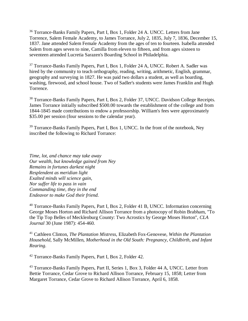<sup>36</sup> Torrance-Banks Family Papers, Part I, Box 1, Folder 24 A. UNCC. Letters from Jane Torrence, Salem Female Academy, to James Torrance, July 2, 1835, July 7, 1836, December 15, 1837. Jane attended Salem Female Academy from the ages of ten to fourteen. Isabella attended Salem from ages seven to nine, Camilla from eleven to fifteen, and from ages sixteen to seventeen attended Lucretia Sarazen's Boarding School in Philadelphia.

<sup>37</sup> Torrance-Banks Family Papers, Part I, Box 1, Folder 24 A, UNCC. Robert A. Sadler was hired by the community to teach orthography, reading, writing, arithmetic, English, grammar, geography and surveying in 1827. He was paid two dollars a student, as well as boarding, washing, firewood, and school house. Two of Sadler's students were James Franklin and Hugh Torrence.

<sup>38</sup> Torrance-Banks Family Papers, Part I, Box 2, Folder 37, UNCC. Davidson College Receipts. James Torrance initially subscribed \$500.00 towards the establishment of the college and from 1844-1845 made contributions to endow a professorship. William's fees were approximately \$35.00 per session (four sessions to the calendar year).

<sup>39</sup> Torrance-Banks Family Papers, Part I, Box 1, UNCC. In the front of the notebook, Ney inscribed the following to Richard Torrance:

*Time, lot, and chance may take away Our wealth, but knowledge gained from Ney Remains in fortunes darkest night Resplendent as meridian light Exalted minds will science gain, Nor suffer life to pass in vain Commanding time, they in the end Endeavor to make God their friend.*

<sup>40</sup> Torrance-Banks Family Papers, Part I, Box 2, Folder 41 B, UNCC. Information concerning George Moses Horton and Richard Allison Torrance from a photocopy of Robin Brabham, "To the Tip Top Belles of Mecklenburg County: Two Acrostics by George Moses Horton", *CLA Journal* 30 (June 1987): 454-460.

<sup>41</sup> Cathleen Clinton, *The Plantation Mistress*, Elizabeth Fox-Genovese, *Within the Plantation Household*, Sally McMillen, *Motherhood in the Old South: Pregnancy, Childbirth, and Infant Rearing*.

<sup>42</sup> Torrance-Banks Family Papers, Part I, Box 2, Folder 42.

<sup>43</sup> Torrance-Banks Family Papers, Part II, Series 1, Box 3, Folder 44 A, UNCC. Letter from Bettie Torrance, Cedar Grove to Richard Allison Torrance, February 15, 1858; Letter from Margaret Torrance, Cedar Grove to Richard Allison Torrance, April 6, 1858.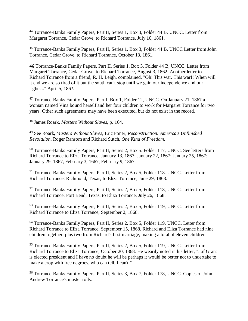<sup>44</sup> Torrance-Banks Family Papers, Part II, Series 1, Box 3, Folder 44 B, UNCC. Letter from Margaret Torrance, Cedar Grove, to Richard Torrance, July 10, 1861.

<sup>45</sup> Torrance-Banks Family Papers, Part II, Series 1, Box 3, Folder 44 B, UNCC Letter from John Torrance, Cedar Grove, to Richard Torrance, October 13, 1861.

46 Torrance-Banks Family Papers, Part II, Series 1, Box 3, Folder 44 B, UNCC. Letter from Margaret Torrance, Cedar Grove, to Richard Torrance, August 3, 1862. Another letter to Richard Torrance from a friend, R. H. Leigh, complained, "Oh! This war. This war!! When will it end we are so tired of it but the south can't stop until we gain our independence and our rights..." April 5, 186?.

<sup>47</sup> Torrance-Banks Family Papers, Part I, Box 1, Folder 12, UNCC. On January 21, 1867 a woman named Vina bound herself and her four children to work for Margaret Torrance for two years. Other such agreements may have been executed, but do not exist in the record.

<sup>48</sup> James Roark, *Masters Without Slaves*, p. 164.

<sup>49</sup> See Roark, *Masters Without Slaves*, Eric Foner, *Reconstruction: America's Unfinished Revoltuion*, Roger Ransom and Richard Sutch, *One Kind of Freedom*.

<sup>50</sup> Torrance-Banks Family Papers, Part II, Series 2, Box 5. Folder 117, UNCC. See letters from Richard Torrance to Eliza Torrance, January 13, 1867; January 22, 1867; January 25, 1867; January 29, 1867; February 3, 1667; February 9, 1867.

<sup>51</sup> Torrance-Banks Family Papers. Part II, Series 2, Box 5, Folder 118. UNCC. Letter from Richard Torrance, Richmond, Texas, to Eliza Torrance, June 29, 1868.

<sup>52</sup> Torrance-Banks Family Papers, Part II, Series 2, Box 5, Folder 118, UNCC. Letter from Richard Torrance, Fort Bend, Texas, to Eliza Torrance, July 26, 1868.

<sup>53</sup> Torrance-Banks Family Papers, Part II, Series 2, Box 5, Folder 119, UNCC. Letter from Richard Torrance to Eliza Torrance, September 2, 1868.

<sup>54</sup> Torrance-Banks Family Papers, Part II, Series 2, Box 5, Folder 119, UNCC. Letter from Richard Torrance to Eliza Torrance, September 15, 1868. Richard and Eliza Torrance had nine children together, plus two from Richard's first marriage, making a total of eleven children.

<sup>55</sup> Torrance-Banks Family Papers, Part II, Series 2, Box 5, Folder 119, UNCC. Letter from Richard Torrance to Eliza Torrance, October 20, 1868. He wearily noted in his letter, "...if Grant is elected president and I have no doubt he will be perhaps it would be better not to undertake to make a crop with free negroes, who can tell, I can't."

<sup>56</sup> Torrance-Banks Family Papers, Part II, Series 3, Box 7, Folder 178, UNCC. Copies of John Andrew Torrance's muster rolls.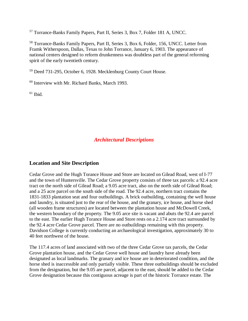<sup>57</sup> Torrance-Banks Family Papers, Part II, Series 3, Box 7, Folder 181 A, UNCC.

<sup>58</sup> Torrance-Banks Family Papers, Part II, Series 3, Box 6, Folder, 156, UNCC. Letter from Framk Witherspoon, Dallas, Texas to John Torrance, January 6, 1903. The appearance of national centers designed to reform drunkenness was doubtless part of the general reforming spirit of the early twentieth century.

<sup>59</sup> Deed 731-295, October 6, 1928. Mecklenburg County Court House.

<sup>60</sup> Interview with Mr. Richard Banks, March 1993.

 $61$  Ibid.

### *Architectural Descriptions*

### **Location and Site Description**

Cedar Grove and the Hugh Torance House and Store are located on Gilead Road, west of I-77 and the town of Huntersville. The Cedar Grove property consists of three tax parcels: a 92.4 acre tract on the north side of Gilead Road; a 9.05 acre tract, also on the north side of Gilead Road; and a 25 acre parcel on the south side of the road. The 92.4 acre, northern tract contains the 1831-1833 plantation seat and four outbuildings. A brick outbuilding, containing the well house and laundry, is situated just to the rear of the house, and the granary, ice house, and horse shed (all wooden frame structures) are located between the plantation house and McDowell Creek, the western boundary of the property. The 9.05 arce site is vacant and abuts the 92.4 are parcel to the east. The earlier Hugh Torance House and Store rests on a 2.174 acre tract surrounded by the 92.4 acre Cedar Grove parcel. There are no outbuildings remaining with this property. Davidson College is currently conducting an archaeological investigation, approximately 30 to 40 feet northwest of the house.

The 117.4 acres of land associated with two of the three Cedar Grove tax parcels, the Cedar Grove plantation house, and the Cedar Grove well house and laundry have already been designated as local landmarks. The granary and ice house are in deteriorated condition, and the horse shed is inaccessible and only partially visible. These three outbuildings should be excluded from the designation, but the 9.05 are parcel, adjacent to the east, should be added to the Cedar Grove designation because this contiguous acreage is part of the historic Torrance estate. The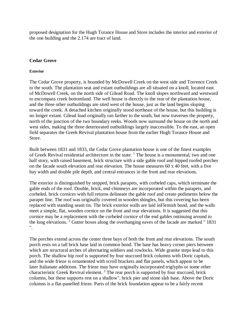proposed designation for the Hugh Torance House and Store includes the interior and exterior of the one building and the 2.174 are tract of land.

#### **Cedar Grove**

#### **Exterior**

The Cedar Grove property, is bounded by McDowell Creek on the west side and Torrence Creek to the south. The plantation seat and extant outbuildings are all situated on a knoll, located east of McDowell Creek, on the north side of Gilead Road. The knoll slopes northward and westward to encompass creek bottomland. The well house is directly to the rear of the plantation house, and the three other outbuildings are sited west of the house, just as the land begins sloping toward the creek. A detached kitchen originally stood northeast of the house, but this building is no longer extant. Gilead load originally ran farther to the south, but now traverses the property, north of the junction of the two boundary reeks. Woods now surround the house on the north and west sides, making the three deteriorated outbuildings largely inaccessible. To the east, an open field separates the Greek Revival plantation house from the earlier Hugh Torance House and Store.

Built between 1831 and 1833, the Cedar Grove plantation house is one of the finest examples of Greek Revival residential architecture in the state.  $\frac{1}{1}$  The house is a monumental, two and one half story, with raised basement, brick structure with a side gable roof and hipped roofed porches on the facade south elevation and rear elevation. The house measures 60 x 40 feet, with a five bay width and double pile depth, and central entrances in the front and rear elevations.

The exterior is distinguished by stepped, brick parapets, with corbeled caps, which terminate the gable ends of the roof. Double, brick, end chimneys are incorporated within the parapets, and corbeled, brick cornices with full returns delineate the gable roof and create pediments below the parapet line. The roof was originally covered in wooden shingles, but this covering has been replaced with standing seam tin. The brick exterior walls are laid inFlemish bond, and the walls meet a simple, flat, wooden cornice on the front and rear elevations. It is suggested that this cornice may be a replacement with the corbeled cornice of the end gables ontinuing around to the long elevations. <sup>2</sup> Gutter boxes along the overhanging eaves of the facade are marked " 1831 ".

The porches extend across the center three bays of both the front and rear elevations. The south porch rests on a tall brick base laid in common bond. The base has heavy corner piers between which are structural arches of alternating soldiers and rowlocks. Wide granite steps lead to this porch. The shallow hip roof is supported by four stuccoed brick columns with Doric capitals, and the wide frieze is ornamented with scroll brackets and flat panels, which appear to be later Italianate additions. The frieze may have originally incorporated triglyphs or some other characteristic Greek Revival element.<sup>3</sup> The rear porch is supported by four stuccoed, brick columns, but these supports rest on a shallow", brick pier and stone slab base. Above the Doric columns is a flat-panelled frieze. Parts of the brick foundation appear to be a fairly recent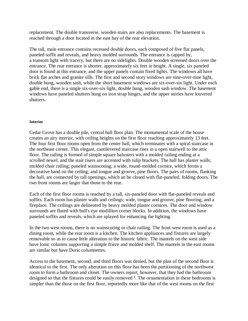replacement. The double transverse, wooden stairs are also replacements. The basement is reached through a door located in the east bay of the rear elevation.

The tall, main entrance contains recessed double doors, each composed of five flat panels, paneled soffit and reveals, and heavy molded surrounds. The entrance is capped by, a transom light with tracery, but there are no sidelights. Double wooden screened doors over the entrance. The rear entrance is shorter, approximately six feet in height. A single, six paneled door is found at this entrance, and the upper panels contain fixed lights. The windows all have brick flat arches and granite sills. The first and second story windows are nine-over-nine light, double hung, wooden sash, while the short basement windows are six-over-six light. Under each gable end, there is a single six-over-six light, double hung, wooden sash window. The basement windows have paneled shutters hung on iron strap hinges, and the upper stories have louvered shutters.

#### **Interior**

Cedar Grove has a double pile, central hall floor plan. The monumental scale of the house creates an airy interior, with ceiling heights on the first floor reaching approximately 13 feet. The four first floor rooms open from the center hall, which terminates with a spiral staircase in the northeast corner. This elegant, cantilevered staircase rises in a open stairwell to the attic floor. The railing is formed of simple square balusters with a molded railing ending at a scrolled newel, and the stair risers are accented with tulip brackets. The hall has plaster walls; molded chair railing; paneled wainscoting; a wide, round-molded cornice, which forms a decorative band on the ceiling; and tongue and groove, pine floors. The pairs of rooms, flanking the hall, are connected by tall openings, which an be closed with flat-paneled, folding doors. The two front rooms are larger that those to the rear.

Each of the first floor rooms is reached by a tall, six-paneled door with flat-paneled reveals and soffits. Each room has plaster walls and ceilings; wide, tongue and groove, pine flooring; and a fireplace. The ceilings are delineated by heavy molded plaster cornices. The door and window surrounds are fluted with bull's eye modillion corner blocks. In addition, the windows have paneled soffits and reveals, which are splayed for enhancing the lighting.

In the two west rooms, there is no wainscoting or chair railing. The front west room is used as a dining room, while the rear room is a kitchen. The kitchen appliances and fixtures are largely removable so as to cause little alteration to the historic fabric. The mantels on the west side have Ionic columns supporting a simple frieze and molded shelf. The mantels in the east rooms are similar but have Doric columnettes.

Access to the basement, second, and third floors was denied, but the plan of the second floor is identical to the first. The only alteration on this floor has been the partitioning of the northwest room to form a bathroom and closet. The owners report, however, that they had the bathroom designed so that the fixtures could be easily removed <sup>4</sup>. The ornamentation in these bedrooms is simpler than the those on the first floor, reportedly more like that of the west rooms on the first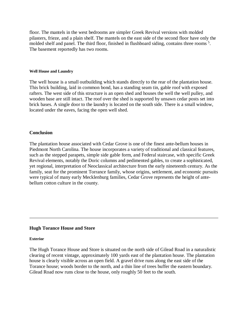floor. The mantels in the west bedrooms are simpler Greek Revival versions with molded pilasters, frieze, and a plain shelf. The mantels on the east side of the second floor have only the molded shelf and panel. The third floor, finished in flushboard siding, contains three rooms<sup>5</sup>. The basement reportedly has two rooms.

#### **Well House and Laundry**

The well house is a small outbuilding which stands directly to the rear of the plantation house. This brick building, laid in common bond, has a standing seam tin, gable roof with exposed rafters. The west side of this structure is an open shed and houses the well the well pulley, and wooden base are still intact. The roof over the shed is supported by unsawn cedar posts set into brick bases. A single door to the laundry is located on the south side. There is a small window, located under the eaves, facing the open well shed.

#### **Conclusion**

The plantation house associated with Cedar Grove is one of the finest ante-bellum houses in Piedmont North Carolina. The house incorporates a variety of traditional and classical features, such as the stepped parapets, simple side gable form, and Federal staircase, with specific Greek Revival elements, notably the Doric columns and pedimented gables, to create a sophisticated, yet regional, interpretation of Neoclassical architecture from the early nineteenth century. As the family, seat for the prominent Torrance family, whose origins, settlement, and economic pursuits were typical of many early Mecklenburg families, Cedar Grove represents the height of antebellum cotton culture in the county.

#### **Hugh Torance House and Store**

#### **Exterior**

The Hugh Torance House and Store is situated on the north side of Gilead Road in a naturalistic clearing of recent vintage, approximately 100 yards east of the plantation house. The plantation house is clearly visible across an open field. A gravel drive runs along the east side of the Torance house; woods border to the north, and a thin line of trees buffer the eastern boundary. Gilead Road now runs close to the house, only roughly 50 feet to the south.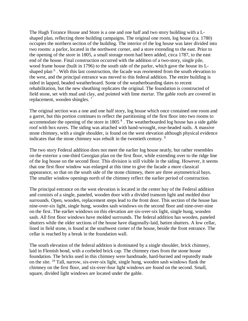The Hugh Torance House and Store is a one and one half and two story building with a Lshaped plan, reflecting three building campaigns. The original one room, log house (ca. 1780) occupies the northern section of the building. The interior of the log house was later divided into two rooms: a parlor, located in the northwest corner, and a store extending to the east. Prior to the opening of the store in 1805, a small storage room had been added, circa 1787, to the east end of the house. Final construction occurred with the addition of a two-story, single pile, wood frame house (built in 1796) to the south side of the parlor, which gave the house its Lshaped plan<sup>6</sup>. With this last construction, the facade was reoriented from the south elevation to the west, and the principal entrance was moved to this federal addition. The entire building is sided in lapped, beaded weatherboard. Some of the weatherboarding dates to recent rehabilitation, but the new sheathing replicates the original. The foundation is constructed of field stone, set with mud and clay, and pointed with lime mortar. The gable roofs are covered in replacement, wooden shingles. <sup>7</sup>

The original section was a one and one half story, log house which once contained one room and a garret, but this portion continues to reflect the partitioning of the first floor into two rooms to accommodate the opening of the store in 1805<sup>8</sup>. The weatherboarded log house has a side gable roof with box eaves. The siding was attached with hand-wrought, rose-headed nails. A massive stone chimney, with a single shoulder, is found on the west elevation although physical evidence indicates that the stone chimney was rebuilt in the twentieth century. <sup>9</sup>

The two story Federal addition does not meet the earlier log house neatly, but rather resembles on the exterior a one-third Georgian plan on the first floor, while extending over to the ridge line of the log house on the second floor. This division is still visible in the siding. However, it seems that one first floor window was enlarged at this time to give the facade a more classical appearance, so that on the south side of the stone chimney, there are three asymmetrical bays. The smaller window openings north of the chimney reflect the earlier period of construction.

The principal entrance on the west elevation is located in the center bay of the Federal addition and consists of a single, paneled, wooden door with a divided transom light and molded door surrounds. Open, wooden, replacement steps lead to the front door. This section of the house has nine-over-six light, single hung, wooden sash windows on the second floor and nine-over-nine on the first. The earlier windows on this elevation are six-over-six light, single hung, wooden sash. All first floor windows have molded surrounds. The federal addition has wooden, paneled shutters while the older sections of the house have diagonally-laid, batten shutters. A low cellar, lined in field stone, is found at the southwest comer of the house, beside the front entrance. The cellar is reached by a break in the foundation wall.

The south elevation of the federal addition is dominated by a single shoulder, brick chimney, laid in Flemish bond, with a corbeled brick cap. The chimney rises from the stone house foundation. The bricks used in this chimney were handmade, hard-burned and reputedly made on the site. <sup>10</sup> Tall, narrow, six-over-six light, single hung, wooden sash windows flank the chimney on the first floor, and six-over-four light windows are found on the second. Small, square, divided light windows are located under the gable.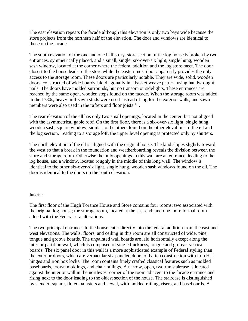The east elevation repeats the facade although this elevation is only two bays wide because the store projects from the northern half of the elevation. The door and windows are identical to those on the facade.

The south elevation of the one and one half story, store section of the log house is broken by two entrances, symmetrically placed, and a small, single, six-over-six light, single hung, wooden sash window, located at the corner where the federal addition and the log store meet. The door closest to the house leads to the store while the easternmost door apparently provides the only access to the storage room. These doors are particularly notable. They are wide, solid, wooden doors, constructed of wide boards laid diagonally in a basket weave pattern using handwrought nails. The doors have molded surrounds, but no transom or sidelights. These entrances are reached by the same open, wooden steps found on the facade. When the storage room was added in the 1780s, heavy mill-sawn studs were used instead of log for the exterior walls, and sawn members were also used in the rafters and floor joists  $11$ .

The rear elevation of the ell has only two small openings, located in the center, but not aligned with the asymmetrical gable roof. On the first floor, there is a six-over-six light, single hung, wooden sash, square window, similar to the others found on the other elevations of the ell and the log section. Leading to a storage loft, the upper level opening is protected only by shutters.

The north elevation of the ell is aligned with the original house. The land slopes slightly toward the west so that a break in the foundation and weatherboarding reveals the division between the store and storage room. Otherwise the only openings in this wall are an entrance, leading to the log house, and a window, located roughly in the middle of this long wall. The window is identical to the other six-over-six light, single hung, wooden sash windows found on the ell. The door is identical to the doors on the south elevation.

#### **Interior**

The first floor of the Hugh Torance House and Store contains four rooms: two associated with the original log house; the storage room, located at the east end; and one more formal room added with the Federal-era alterations.

The two principal entrances to the house enter directly into the federal addition from the east and west elevations. The walls, floors, and ceiling in this room are all constructed of wide, pine, tongue and groove boards. The unpainted wall boards are laid horizontally except along the interior partition wall, which is composed of single thickness, tongue and groove, vertical boards. The six panel door in this wall is a more sophisticated example of Federal styling than the exterior doors, which are vernacular six-paneled doors of batten construction with iron H-L hinges and iron box locks. The room contains finely crafted classical features such as molded baseboards, crown moldings, and chair railings. A narrow, open, two run staircase is located against the interior wall in the northwest corner of the room adjacent to the facade entrance and rising next to the door leading to the oldest section of the house. The staircase is distinguished by slender, square, fluted balusters and newel, with molded railing, risers, and baseboards. A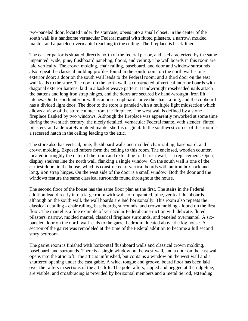two-paneled door, located under the staircase, opens into a small closet. In the center of the south wall is a handsome vernacular Federal mantel with fluted pilasters, a narrow, molded mantel, and a paneled overmantel reaching to the ceiling. The fireplace is brick-lined.

The earlier parlor is situated directly north of the federal parlor, and is characterized by the same unpainted, wide, pine, flushboard paneling, floors, and ceiling. The wall boards in this room are laid vertically. The crown molding, chair railing, baseboard, and door and window surrounds also repeat the classical molding profiles found in the south room. on the north wall is one exterior door; a door on the south wall leads to the Federal room; and a third door on the east wall leads to the store. The door on the north wall is constructed of vertical interior boards with diagonal exterior battens, laid in a basket weave pattern. Handwrought roseheaded nails attach the battens and long iron strap hinges, and the doors are secured by hand-wrought, iron lift latches. On the south interior wall is an inset cupboard above the chair railing, and the cupboard has a divided light door. The door to the store is paneled with a multiple light midsection which allows a view of the store counter from the fireplace. The west wall is defined by a stone fireplace flanked by two windows. Although the fireplace was apparently reworked at some time during the twentieth century, the nicely detailed, vernacular Federal mantel with slender, fluted pilasters, and a delicately molded mantel shelf is original. In the southwest corner of this room is a recessed hatch in the ceiling leading to the attic.

The store also has vertical, pine, flushboard walls and molded chair railing, baseboard, and crown molding. Exposed rafters form the ceiling to this room. The enclosed, wooden counter, located in roughly the enter of the room and extending to the rear wall, is a replacement. Open, display shelves line the north wall, flanking a single window. On the south wall is one of the earliest doors in the house, which is constructed of vertical boards with an iron box lock and long, iron strap hinges. On the west side of the door is a small window. Both the door and the windows feature the same classical surrounds found throughout the house.

The second floor of the house has the same floor plan as the first. The stairs in the Federal addition lead directly into a large room with walls of unpainted, pine, vertical flushboards although on the south wall, the wall boards are laid horizontally. This room also repeats the classical detailing - chair railing, baseboards, surrounds, and crown molding - found on the first floor. The mantel is a fine example of vernacular Federal construction with delicate, fluted pilasters, narrow, molded mantel, classical fireplace surrounds, and paneled overmantel. A sixpaneled door on the north wall leads to the garret bedroom, located above the log house. A section of the garret was remodeled at the time of the Federal addition to become a full second story bedroom.

The garret room is finished with horizontal flushboard walls and classical crown molding, baseboard, and surrounds. There is a single window on the west wall, and a door on the east wall opens into the attic loft. The attic is unfinished, but contains a window on the west wall and a shuttered opening under the east gable. A wide, tongue and groove, board floor has been laid over the rafters in sections of the attic loft. The pole rafters, lapped and pegged at the ridgeline, are visible, and crossbracing is provided by horizontal members and a metal tie rod, extending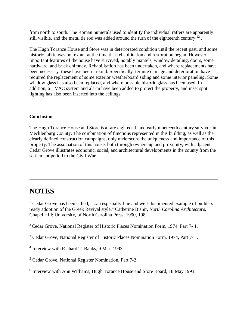from north to south. The Roman numerals used to identify the individual rafters are apparently still visible, and the metal tie rod was added around the turn of the eighteenth century  $^{12}$ .

The Hugh Torance House and Store was in deteriorated condition until the recent past, and some historic fabric was not extant at the time that rehabilitation and restoration began. However, important features of the house have survived, notably mantels, window detailing, doors, some hardware, and brick chimney. Rehabilitation has been undertaken, and where replacements have been necessary, these have been in-kind. Specifically, termite damage and deterioration have required the replacement of some exterior weatherboard siding and some interior paneling. Some window glass has also been replaced, and where possible historic glass has been used. In addition, a HVAC system and alarm have been added to protect the property, and inset spot lighting has also been inserted into the ceilings.

#### **Conclusion**

The Hugh Torance House and Store is a rare eighteenth and early nineteenth century survivor in Mecklenburg County. The combination of functions represented in this building, as well as the clearly defined construction campaigns, only underscore the uniqueness and importance of this property. The association of this house, both through ownership and proximity, with adjacent Cedar Grove illustrates economic, social, and architectural developments in the county from the settlement period to the Civil War.

## **NOTES**

<sup>1</sup> Cedar Grove has been called, "...an especially fine and well-documented example of builders ready adoption of the Greek Revival style." Catherine Bishir, *North Carolina Architecture*, Chapel Hill: University, of North Carolina Press, 1990, 198.

<sup>2</sup> Cedar Grove, National Register of Historic Places Nomination Form, 1974, Part 7-1.

<sup>3</sup> Cedar Grove, National Register of Historic Places Nomination Form, 1974, Part 7- 1.

<sup>4</sup> Interview with Richard T. Banks, 9 Mar. 1993.

<sup>5</sup> Cedar Grove, National Register Nomination, Part 7-2.

<sup>6</sup> Interview with Ann Williams, Hugh Torance House and Store Board, 18 May 1993.